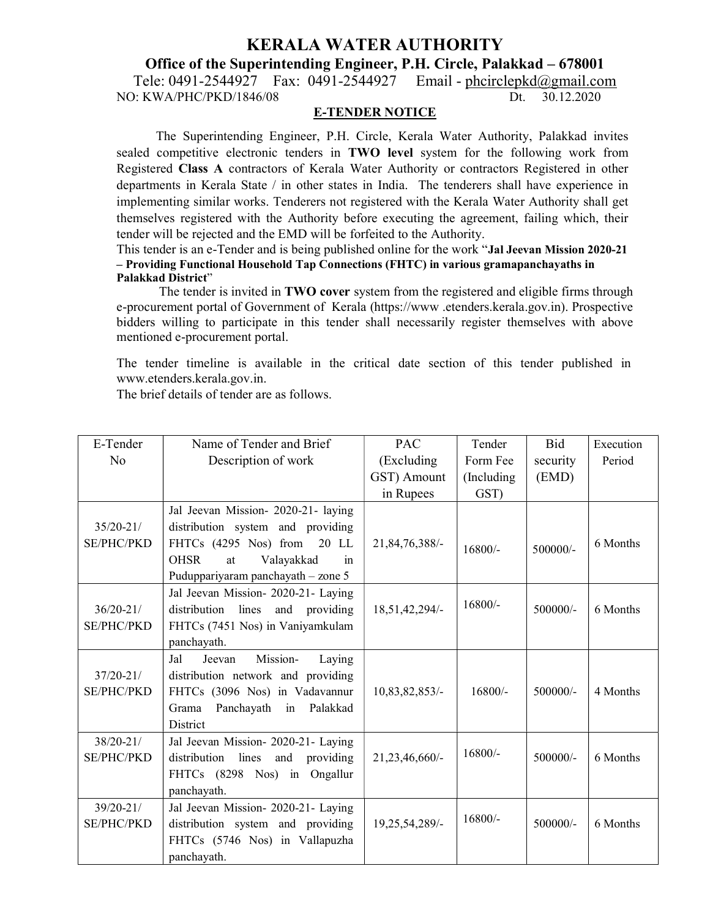# KERALA WATER AUTHORITY

Office of the Superintending Engineer, P.H. Circle, Palakkad – 678001

Tele: 0491-2544927 Fax: 0491-2544927 Email - <u>phcirclepkd@gmail.com</u><br>0: KWA/PHC/PKD/1846/08 Dt. 30.12.2020 NO: KWA/PHC/PKD/1846/08

#### E-TENDER NOTICE

The Superintending Engineer, P.H. Circle, Kerala Water Authority, Palakkad invites sealed competitive electronic tenders in TWO level system for the following work from Registered Class A contractors of Kerala Water Authority or contractors Registered in other departments in Kerala State / in other states in India. The tenderers shall have experience in implementing similar works. Tenderers not registered with the Kerala Water Authority shall get themselves registered with the Authority before executing the agreement, failing which, their tender will be rejected and the EMD will be forfeited to the Authority.

This tender is an e-Tender and is being published online for the work "Jal Jeevan Mission 2020-21 – Providing Functional Household Tap Connections (FHTC) in various gramapanchayaths in Palakkad District"

The tender is invited in **TWO cover** system from the registered and eligible firms through e-procurement portal of Government of Kerala (https://www .etenders.kerala.gov.in). Prospective bidders willing to participate in this tender shall necessarily register themselves with above mentioned e-procurement portal.

The tender timeline is available in the critical date section of this tender published in www.etenders.kerala.gov.in.

The brief details of tender are as follows.

| E-Tender                           | Name of Tender and Brief                                                                                                                 | PAC            | Tender      | Bid        | Execution |
|------------------------------------|------------------------------------------------------------------------------------------------------------------------------------------|----------------|-------------|------------|-----------|
| No                                 | Description of work                                                                                                                      | (Excluding     | Form Fee    | security   | Period    |
|                                    |                                                                                                                                          | GST) Amount    | (Including) | (EMD)      |           |
|                                    |                                                                                                                                          | in Rupees      | GST)        |            |           |
|                                    | Jal Jeevan Mission- 2020-21- laying                                                                                                      |                |             |            |           |
| $35/20 - 21/$                      | distribution system and providing                                                                                                        |                |             |            |           |
| <b>SE/PHC/PKD</b>                  | FHTCs (4295 Nos) from 20 LL                                                                                                              | 21,84,76,388/- | $16800/-$   | 500000/-   | 6 Months  |
|                                    | Valayakkad<br><b>OHSR</b><br>at<br>in                                                                                                    |                |             |            |           |
|                                    | Puduppariyaram panchayath - zone 5                                                                                                       |                |             |            |           |
| $36/20 - 21/$                      | Jal Jeevan Mission- 2020-21- Laying<br>lines<br>distribution<br>and providing                                                            | 18,51,42,294/- | $16800/-$   | $500000/-$ | 6 Months  |
| <b>SE/PHC/PKD</b>                  | FHTCs (7451 Nos) in Vaniyamkulam                                                                                                         |                |             |            |           |
|                                    | panchayath.                                                                                                                              |                |             |            |           |
|                                    | Jal<br>Mission-<br>Jeevan                                                                                                                |                |             |            |           |
| $37/20 - 21/$                      | Laying<br>distribution network and providing                                                                                             |                |             |            |           |
| <b>SE/PHC/PKD</b>                  | FHTCs (3096 Nos) in Vadavannur                                                                                                           | 10,83,82,853/- | $16800/-$   | 500000/-   | 4 Months  |
|                                    | Panchayath<br>Grama<br>in Palakkad                                                                                                       |                |             |            |           |
|                                    | <b>District</b>                                                                                                                          |                |             |            |           |
| $38/20 - 21/$                      | Jal Jeevan Mission- 2020-21- Laying                                                                                                      |                |             |            |           |
| <b>SE/PHC/PKD</b>                  | lines<br>distribution<br>and<br>providing                                                                                                | 21,23,46,660/- | $16800/-$   | $500000/-$ | 6 Months  |
|                                    | FHTCs (8298 Nos) in Ongallur                                                                                                             |                |             |            |           |
|                                    |                                                                                                                                          |                |             |            |           |
|                                    |                                                                                                                                          |                |             |            |           |
|                                    |                                                                                                                                          |                | $16800/-$   |            |           |
|                                    |                                                                                                                                          |                |             |            |           |
|                                    |                                                                                                                                          |                |             |            |           |
| $39/20 - 21/$<br><b>SE/PHC/PKD</b> | panchayath.<br>Jal Jeevan Mission- 2020-21- Laying<br>distribution system and providing<br>FHTCs (5746 Nos) in Vallapuzha<br>panchayath. | 19,25,54,289/- |             | 500000/-   | 6 Months  |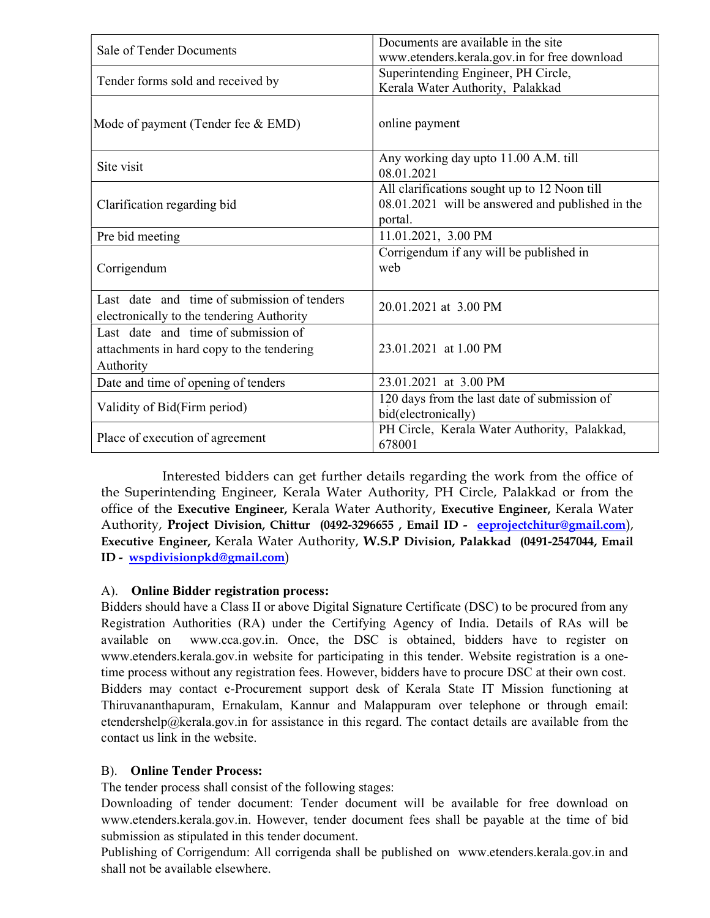| Sale of Tender Documents                                                                      | Documents are available in the site<br>www.etenders.kerala.gov.in for free download                         |  |  |
|-----------------------------------------------------------------------------------------------|-------------------------------------------------------------------------------------------------------------|--|--|
| Tender forms sold and received by                                                             | Superintending Engineer, PH Circle,<br>Kerala Water Authority, Palakkad                                     |  |  |
| Mode of payment (Tender fee & EMD)                                                            | online payment                                                                                              |  |  |
| Site visit                                                                                    | Any working day upto 11.00 A.M. till<br>08.01.2021                                                          |  |  |
| Clarification regarding bid                                                                   | All clarifications sought up to 12 Noon till<br>08.01.2021 will be answered and published in the<br>portal. |  |  |
| Pre bid meeting                                                                               | 11.01.2021, 3.00 PM                                                                                         |  |  |
| Corrigendum                                                                                   | Corrigendum if any will be published in<br>web                                                              |  |  |
| Last date and time of submission of tenders<br>electronically to the tendering Authority      | 20.01.2021 at 3.00 PM                                                                                       |  |  |
| Last date and time of submission of<br>attachments in hard copy to the tendering<br>Authority | 23.01.2021 at 1.00 PM                                                                                       |  |  |
| Date and time of opening of tenders                                                           | 23.01.2021 at 3.00 PM                                                                                       |  |  |
| Validity of Bid(Firm period)                                                                  | 120 days from the last date of submission of<br>bid(electronically)                                         |  |  |
| Place of execution of agreement                                                               | PH Circle, Kerala Water Authority, Palakkad,<br>678001                                                      |  |  |

Interested bidders can get further details regarding the work from the office of the Superintending Engineer, Kerala Water Authority, PH Circle, Palakkad or from the office of the Executive Engineer, Kerala Water Authority, Executive Engineer, Kerala Water Authority, Project Division, Chittur (0492-3296655, Email ID - eeprojectchitur@gmail.com), Executive Engineer, Kerala Water Authority, W.S.P Division, Palakkad (0491-2547044, Email ID - wspdivisionpkd@gmail.com)

### A). Online Bidder registration process:

Bidders should have a Class II or above Digital Signature Certificate (DSC) to be procured from any Registration Authorities (RA) under the Certifying Agency of India. Details of RAs will be available on www.cca.gov.in. Once, the DSC is obtained, bidders have to register on www.etenders.kerala.gov.in website for participating in this tender. Website registration is a onetime process without any registration fees. However, bidders have to procure DSC at their own cost. Bidders may contact e-Procurement support desk of Kerala State IT Mission functioning at Thiruvananthapuram, Ernakulam, Kannur and Malappuram over telephone or through email: etendershelp@kerala.gov.in for assistance in this regard. The contact details are available from the contact us link in the website.

## B). Online Tender Process:

The tender process shall consist of the following stages:

Downloading of tender document: Tender document will be available for free download on www.etenders.kerala.gov.in. However, tender document fees shall be payable at the time of bid submission as stipulated in this tender document.

Publishing of Corrigendum: All corrigenda shall be published on www.etenders.kerala.gov.in and shall not be available elsewhere.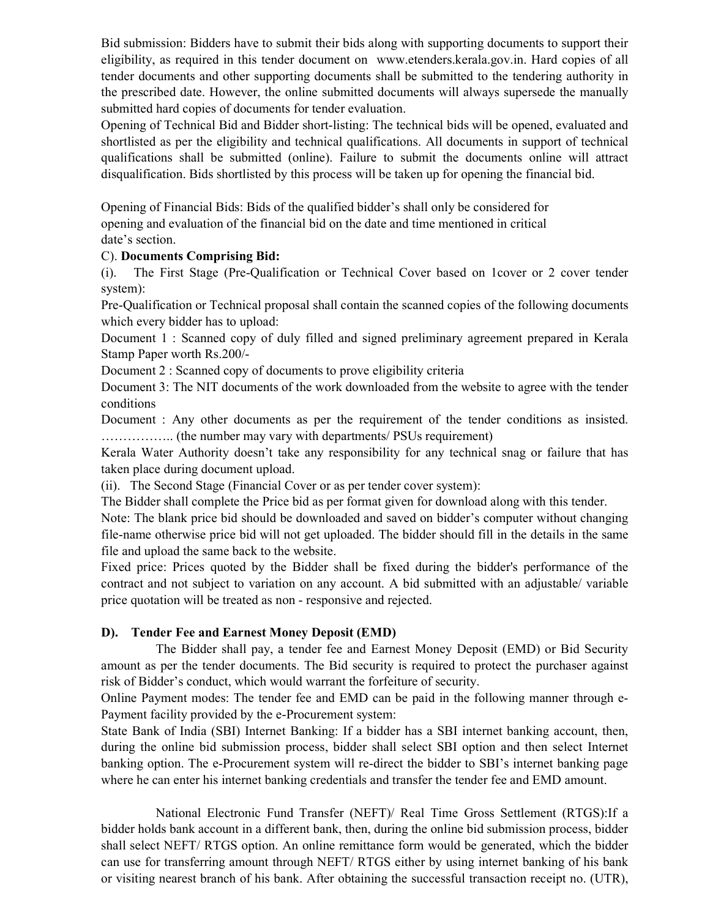Bid submission: Bidders have to submit their bids along with supporting documents to support their eligibility, as required in this tender document on www.etenders.kerala.gov.in. Hard copies of all tender documents and other supporting documents shall be submitted to the tendering authority in the prescribed date. However, the online submitted documents will always supersede the manually submitted hard copies of documents for tender evaluation.

Opening of Technical Bid and Bidder short-listing: The technical bids will be opened, evaluated and shortlisted as per the eligibility and technical qualifications. All documents in support of technical qualifications shall be submitted (online). Failure to submit the documents online will attract disqualification. Bids shortlisted by this process will be taken up for opening the financial bid.

Opening of Financial Bids: Bids of the qualified bidder's shall only be considered for opening and evaluation of the financial bid on the date and time mentioned in critical date's section.

### C). Documents Comprising Bid:

(i). The First Stage (Pre-Qualification or Technical Cover based on 1cover or 2 cover tender system):

Pre-Qualification or Technical proposal shall contain the scanned copies of the following documents which every bidder has to upload:

Document 1 : Scanned copy of duly filled and signed preliminary agreement prepared in Kerala Stamp Paper worth Rs.200/-

Document 2 : Scanned copy of documents to prove eligibility criteria

Document 3: The NIT documents of the work downloaded from the website to agree with the tender conditions

Document : Any other documents as per the requirement of the tender conditions as insisted. …………….. (the number may vary with departments/ PSUs requirement)

Kerala Water Authority doesn't take any responsibility for any technical snag or failure that has taken place during document upload.

(ii). The Second Stage (Financial Cover or as per tender cover system):

The Bidder shall complete the Price bid as per format given for download along with this tender.

Note: The blank price bid should be downloaded and saved on bidder's computer without changing file-name otherwise price bid will not get uploaded. The bidder should fill in the details in the same file and upload the same back to the website.

Fixed price: Prices quoted by the Bidder shall be fixed during the bidder's performance of the contract and not subject to variation on any account. A bid submitted with an adjustable/ variable price quotation will be treated as non - responsive and rejected.

### D). Tender Fee and Earnest Money Deposit (EMD)

 The Bidder shall pay, a tender fee and Earnest Money Deposit (EMD) or Bid Security amount as per the tender documents. The Bid security is required to protect the purchaser against risk of Bidder's conduct, which would warrant the forfeiture of security.

Online Payment modes: The tender fee and EMD can be paid in the following manner through e-Payment facility provided by the e-Procurement system:

State Bank of India (SBI) Internet Banking: If a bidder has a SBI internet banking account, then, during the online bid submission process, bidder shall select SBI option and then select Internet banking option. The e-Procurement system will re-direct the bidder to SBI's internet banking page where he can enter his internet banking credentials and transfer the tender fee and EMD amount.

 National Electronic Fund Transfer (NEFT)/ Real Time Gross Settlement (RTGS):If a bidder holds bank account in a different bank, then, during the online bid submission process, bidder shall select NEFT/ RTGS option. An online remittance form would be generated, which the bidder can use for transferring amount through NEFT/ RTGS either by using internet banking of his bank or visiting nearest branch of his bank. After obtaining the successful transaction receipt no. (UTR),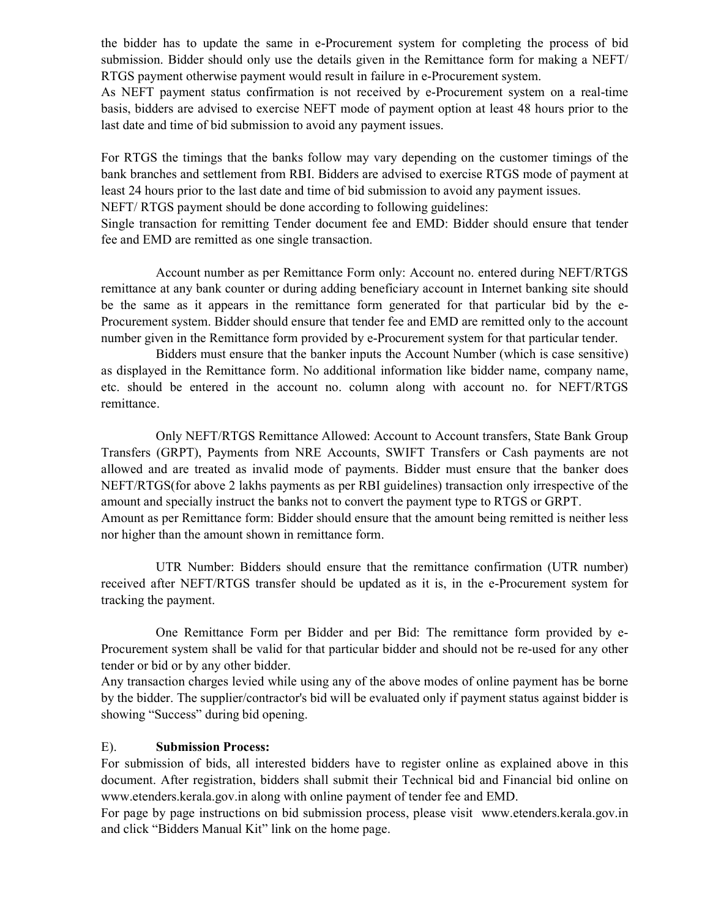the bidder has to update the same in e-Procurement system for completing the process of bid submission. Bidder should only use the details given in the Remittance form for making a NEFT/ RTGS payment otherwise payment would result in failure in e-Procurement system.

As NEFT payment status confirmation is not received by e-Procurement system on a real-time basis, bidders are advised to exercise NEFT mode of payment option at least 48 hours prior to the last date and time of bid submission to avoid any payment issues.

For RTGS the timings that the banks follow may vary depending on the customer timings of the bank branches and settlement from RBI. Bidders are advised to exercise RTGS mode of payment at least 24 hours prior to the last date and time of bid submission to avoid any payment issues.

NEFT/ RTGS payment should be done according to following guidelines:

Single transaction for remitting Tender document fee and EMD: Bidder should ensure that tender fee and EMD are remitted as one single transaction.

 Account number as per Remittance Form only: Account no. entered during NEFT/RTGS remittance at any bank counter or during adding beneficiary account in Internet banking site should be the same as it appears in the remittance form generated for that particular bid by the e-Procurement system. Bidder should ensure that tender fee and EMD are remitted only to the account number given in the Remittance form provided by e-Procurement system for that particular tender.

 Bidders must ensure that the banker inputs the Account Number (which is case sensitive) as displayed in the Remittance form. No additional information like bidder name, company name, etc. should be entered in the account no. column along with account no. for NEFT/RTGS remittance.

 Only NEFT/RTGS Remittance Allowed: Account to Account transfers, State Bank Group Transfers (GRPT), Payments from NRE Accounts, SWIFT Transfers or Cash payments are not allowed and are treated as invalid mode of payments. Bidder must ensure that the banker does NEFT/RTGS(for above 2 lakhs payments as per RBI guidelines) transaction only irrespective of the amount and specially instruct the banks not to convert the payment type to RTGS or GRPT. Amount as per Remittance form: Bidder should ensure that the amount being remitted is neither less nor higher than the amount shown in remittance form.

 UTR Number: Bidders should ensure that the remittance confirmation (UTR number) received after NEFT/RTGS transfer should be updated as it is, in the e-Procurement system for tracking the payment.

 One Remittance Form per Bidder and per Bid: The remittance form provided by e-Procurement system shall be valid for that particular bidder and should not be re-used for any other tender or bid or by any other bidder.

Any transaction charges levied while using any of the above modes of online payment has be borne by the bidder. The supplier/contractor's bid will be evaluated only if payment status against bidder is showing "Success" during bid opening.

### E). Submission Process:

For submission of bids, all interested bidders have to register online as explained above in this document. After registration, bidders shall submit their Technical bid and Financial bid online on www.etenders.kerala.gov.in along with online payment of tender fee and EMD.

For page by page instructions on bid submission process, please visit www.etenders.kerala.gov.in and click "Bidders Manual Kit" link on the home page.